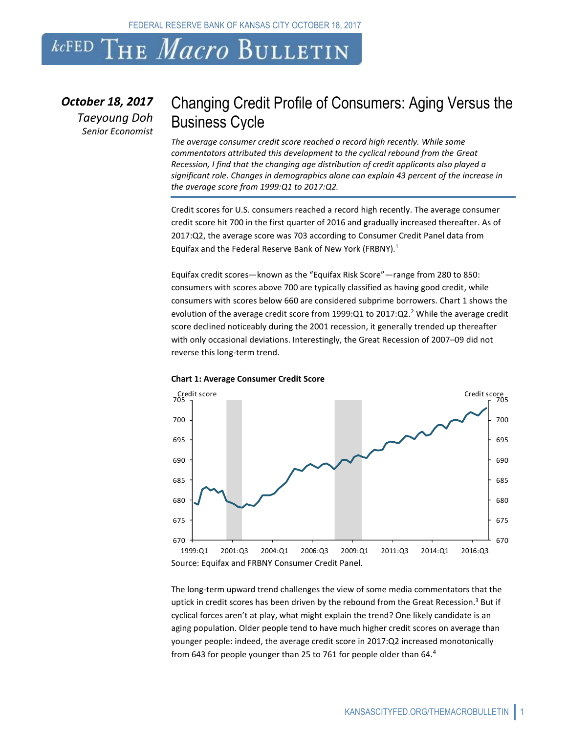FEDERAL RESERVE BANK OF KANSAS CITY OCTOBER 18, 2017

# *kc*fed The *Macro* Bulletin

*October 18, 2017 Taeyoung Doh Senior Economist*

### Changing Credit Profile of Consumers: Aging Versus the Business Cycle

*The average consumer credit score reached a record high recently. While some commentators attributed this development to the cyclical rebound from the Great Recession, I find that the changing age distribution of credit applicants also played a significant role. Changes in demographics alone can explain 43 percent of the increase in the average score from 1999:Q1 to 2017:Q2.*

Credit scores for U.S. consumers reached a record high recently. The average consumer credit score hit 700 in the first quarter of 2016 and gradually increased thereafter. As of 2017:Q2, the average score was 703 according to Consumer Credit Panel data from Equifax and the Federal Reserve Bank of New York (FRBNY). 1

Equifax credit scores—known as the "Equifax Risk Score"—range from 280 to 850: consumers with scores above 700 are typically classified as having good credit, while consumers with scores below 660 are considered subprime borrowers. Chart 1 shows the evolution of the average credit score from 1999:Q1 to 2017:Q2.<sup>2</sup> While the average credit score declined noticeably during the 2001 recession, it generally trended up thereafter with only occasional deviations. Interestingly, the Great Recession of 2007–09 did not reverse this long-term trend.



#### **Chart 1: Average Consumer Credit Score**

The long-term upward trend challenges the view of some media commentators that the uptick in credit scores has been driven by the rebound from the Great Recession.<sup>3</sup> But if cyclical forces aren't at play, what might explain the trend? One likely candidate is an aging population. Older people tend to have much higher credit scores on average than younger people: indeed, the average credit score in 2017:Q2 increased monotonically from 643 for people younger than 25 to 761 for people older than 64.<sup>4</sup>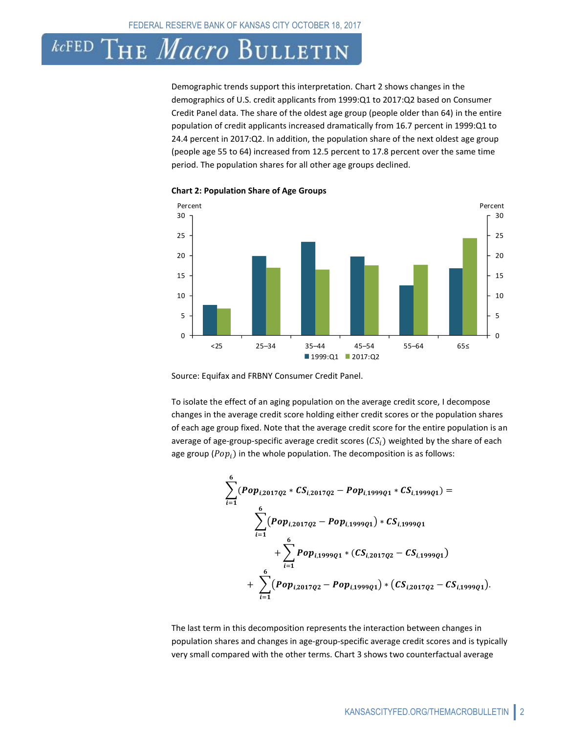### 'he *Macro* Bulletin  $kcFED$

Demographic trends support this interpretation. Chart 2 shows changes in the demographics of U.S. credit applicants from 1999:Q1 to 2017:Q2 based on Consumer Credit Panel data. The share of the oldest age group (people older than 64) in the entire population of credit applicants increased dramatically from 16.7 percent in 1999:Q1 to 24.4 percent in 2017:Q2. In addition, the population share of the next oldest age group (people age 55 to 64) increased from 12.5 percent to 17.8 percent over the same time period. The population shares for all other age groups declined.



**Chart 2: Population Share of Age Groups**

Source: Equifax and FRBNY Consumer Credit Panel.

To isolate the effect of an aging population on the average credit score, I decompose changes in the average credit score holding either credit scores or the population shares of each age group fixed. Note that the average credit score for the entire population is an average of age-group-specific average credit scores  $(CS_i)$  weighted by the share of each age group ( $Pop_i$ ) in the whole population. The decomposition is as follows:

$$
\sum_{i=1}^{6} (Pop_{i,2017Q2} * CS_{i,2017Q2} - Pop_{i,1999Q1} * CS_{i,1999Q1}) =
$$
\n
$$
\sum_{i=1}^{6} (Pop_{i,2017Q2} - Pop_{i,1999Q1}) * CS_{i,1999Q1} + \sum_{i=1}^{6} Pop_{i,1999Q1} * (CS_{i,2017Q2} - CS_{i,1999Q1}) + \sum_{i=1}^{6} (Pop_{i,2017Q2} - Pop_{i,1999Q1}) * (CS_{i,2017Q2} - CS_{i,1999Q1}).
$$

The last term in this decomposition represents the interaction between changes in population shares and changes in age-group-specific average credit scores and is typically very small compared with the other terms. Chart 3 shows two counterfactual average